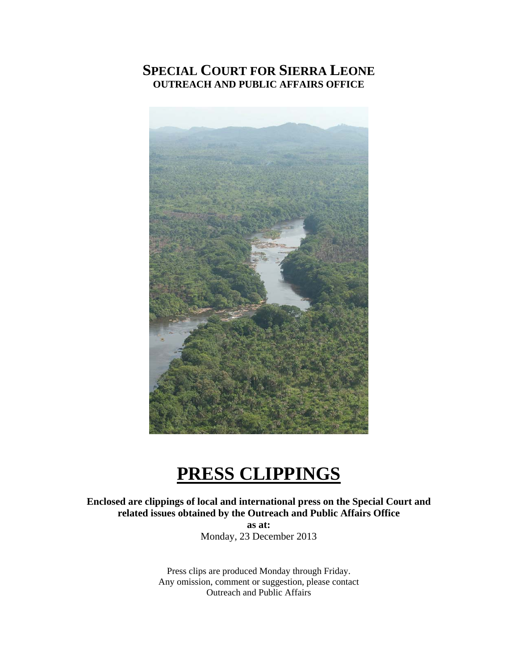## **SPECIAL COURT FOR SIERRA LEONE OUTREACH AND PUBLIC AFFAIRS OFFICE**



# **PRESS CLIPPINGS**

**Enclosed are clippings of local and international press on the Special Court and related issues obtained by the Outreach and Public Affairs Office as at:** 

Monday, 23 December 2013

Press clips are produced Monday through Friday. Any omission, comment or suggestion, please contact Outreach and Public Affairs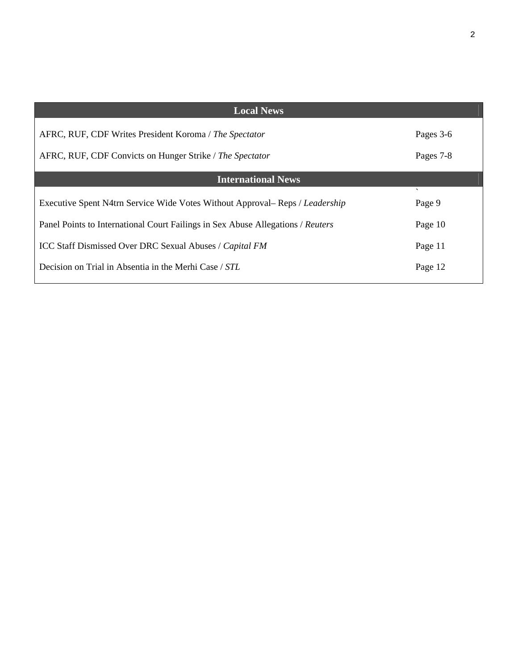| <b>Local News</b>                                                               |                                    |
|---------------------------------------------------------------------------------|------------------------------------|
| AFRC, RUF, CDF Writes President Koroma / The Spectator                          | Pages 3-6                          |
| AFRC, RUF, CDF Convicts on Hunger Strike / The Spectator                        | Pages 7-8                          |
| <b>International News</b>                                                       |                                    |
| Executive Spent N4trn Service Wide Votes Without Approval– Reps / Leadership    | $\overline{\phantom{0}}$<br>Page 9 |
| Panel Points to International Court Failings in Sex Abuse Allegations / Reuters | Page 10                            |
| ICC Staff Dismissed Over DRC Sexual Abuses / Capital FM                         | Page 11                            |
| Decision on Trial in Absentia in the Merhi Case / STL                           | Page 12                            |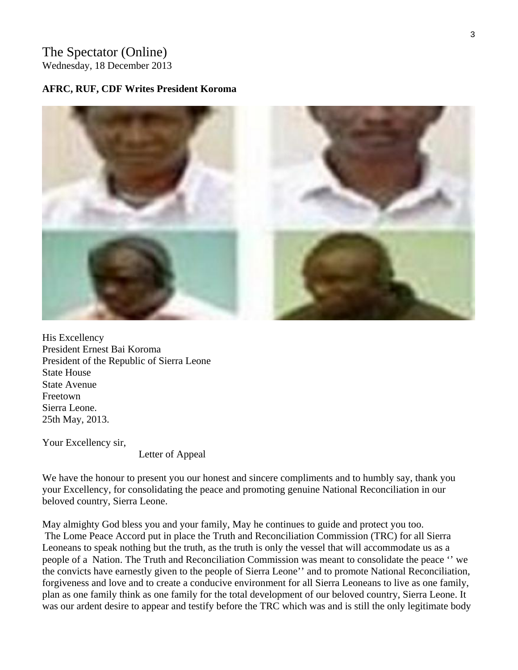## The Spectator (Online)

Wednesday, 18 December 2013

#### **AFRC, RUF, CDF Writes President Koroma**



His Excellency President Ernest Bai Koroma President of the Republic of Sierra Leone State House State Avenue Freetown Sierra Leone. 25th May, 2013.

Your Excellency sir,

Letter of Appeal

We have the honour to present you our honest and sincere compliments and to humbly say, thank you your Excellency, for consolidating the peace and promoting genuine National Reconciliation in our beloved country, Sierra Leone.

May almighty God bless you and your family, May he continues to guide and protect you too. The Lome Peace Accord put in place the Truth and Reconciliation Commission (TRC) for all Sierra Leoneans to speak nothing but the truth, as the truth is only the vessel that will accommodate us as a people of a Nation. The Truth and Reconciliation Commission was meant to consolidate the peace '' we the convicts have earnestly given to the people of Sierra Leone'' and to promote National Reconciliation, forgiveness and love and to create a conducive environment for all Sierra Leoneans to live as one family, plan as one family think as one family for the total development of our beloved country, Sierra Leone. It was our ardent desire to appear and testify before the TRC which was and is still the only legitimate body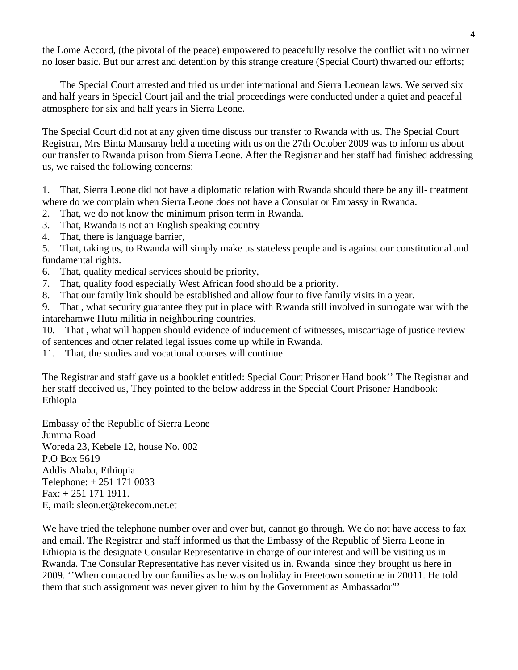the Lome Accord, (the pivotal of the peace) empowered to peacefully resolve the conflict with no winner no loser basic. But our arrest and detention by this strange creature (Special Court) thwarted our efforts;

 The Special Court arrested and tried us under international and Sierra Leonean laws. We served six and half years in Special Court jail and the trial proceedings were conducted under a quiet and peaceful atmosphere for six and half years in Sierra Leone.

The Special Court did not at any given time discuss our transfer to Rwanda with us. The Special Court Registrar, Mrs Binta Mansaray held a meeting with us on the 27th October 2009 was to inform us about our transfer to Rwanda prison from Sierra Leone. After the Registrar and her staff had finished addressing us, we raised the following concerns:

1. That, Sierra Leone did not have a diplomatic relation with Rwanda should there be any ill- treatment where do we complain when Sierra Leone does not have a Consular or Embassy in Rwanda.

- 2. That, we do not know the minimum prison term in Rwanda.
- 3. That, Rwanda is not an English speaking country
- 4. That, there is language barrier,

5. That, taking us, to Rwanda will simply make us stateless people and is against our constitutional and fundamental rights.

- 6. That, quality medical services should be priority,
- 7. That, quality food especially West African food should be a priority.
- 8. That our family link should be established and allow four to five family visits in a year.

9. That , what security guarantee they put in place with Rwanda still involved in surrogate war with the intarehamwe Hutu militia in neighbouring countries.

10. That , what will happen should evidence of inducement of witnesses, miscarriage of justice review of sentences and other related legal issues come up while in Rwanda.

11. That, the studies and vocational courses will continue.

The Registrar and staff gave us a booklet entitled: Special Court Prisoner Hand book'' The Registrar and her staff deceived us, They pointed to the below address in the Special Court Prisoner Handbook: Ethiopia

Embassy of the Republic of Sierra Leone Jumma Road Woreda 23, Kebele 12, house No. 002 P.O Box 5619 Addis Ababa, Ethiopia Telephone: + 251 171 0033 Fax: + 251 171 1911. E, mail: sleon.et@tekecom.net.et

We have tried the telephone number over and over but, cannot go through. We do not have access to fax and email. The Registrar and staff informed us that the Embassy of the Republic of Sierra Leone in Ethiopia is the designate Consular Representative in charge of our interest and will be visiting us in Rwanda. The Consular Representative has never visited us in. Rwanda since they brought us here in 2009. ''When contacted by our families as he was on holiday in Freetown sometime in 20011. He told them that such assignment was never given to him by the Government as Ambassador"'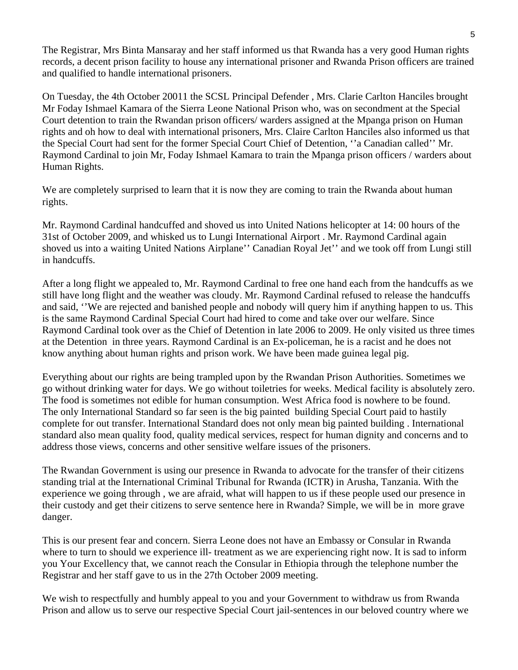The Registrar, Mrs Binta Mansaray and her staff informed us that Rwanda has a very good Human rights records, a decent prison facility to house any international prisoner and Rwanda Prison officers are trained and qualified to handle international prisoners.

On Tuesday, the 4th October 20011 the SCSL Principal Defender , Mrs. Clarie Carlton Hanciles brought Mr Foday Ishmael Kamara of the Sierra Leone National Prison who, was on secondment at the Special Court detention to train the Rwandan prison officers/ warders assigned at the Mpanga prison on Human rights and oh how to deal with international prisoners, Mrs. Claire Carlton Hanciles also informed us that the Special Court had sent for the former Special Court Chief of Detention, ''a Canadian called'' Mr. Raymond Cardinal to join Mr, Foday Ishmael Kamara to train the Mpanga prison officers / warders about Human Rights.

We are completely surprised to learn that it is now they are coming to train the Rwanda about human rights.

Mr. Raymond Cardinal handcuffed and shoved us into United Nations helicopter at 14: 00 hours of the 31st of October 2009, and whisked us to Lungi International Airport . Mr. Raymond Cardinal again shoved us into a waiting United Nations Airplane'' Canadian Royal Jet'' and we took off from Lungi still in handcuffs.

After a long flight we appealed to, Mr. Raymond Cardinal to free one hand each from the handcuffs as we still have long flight and the weather was cloudy. Mr. Raymond Cardinal refused to release the handcuffs and said, ''We are rejected and banished people and nobody will query him if anything happen to us. This is the same Raymond Cardinal Special Court had hired to come and take over our welfare. Since Raymond Cardinal took over as the Chief of Detention in late 2006 to 2009. He only visited us three times at the Detention in three years. Raymond Cardinal is an Ex-policeman, he is a racist and he does not know anything about human rights and prison work. We have been made guinea legal pig.

Everything about our rights are being trampled upon by the Rwandan Prison Authorities. Sometimes we go without drinking water for days. We go without toiletries for weeks. Medical facility is absolutely zero. The food is sometimes not edible for human consumption. West Africa food is nowhere to be found. The only International Standard so far seen is the big painted building Special Court paid to hastily complete for out transfer. International Standard does not only mean big painted building . International standard also mean quality food, quality medical services, respect for human dignity and concerns and to address those views, concerns and other sensitive welfare issues of the prisoners.

The Rwandan Government is using our presence in Rwanda to advocate for the transfer of their citizens standing trial at the International Criminal Tribunal for Rwanda (ICTR) in Arusha, Tanzania. With the experience we going through , we are afraid, what will happen to us if these people used our presence in their custody and get their citizens to serve sentence here in Rwanda? Simple, we will be in more grave danger.

This is our present fear and concern. Sierra Leone does not have an Embassy or Consular in Rwanda where to turn to should we experience ill- treatment as we are experiencing right now. It is sad to inform you Your Excellency that, we cannot reach the Consular in Ethiopia through the telephone number the Registrar and her staff gave to us in the 27th October 2009 meeting.

We wish to respectfully and humbly appeal to you and your Government to withdraw us from Rwanda Prison and allow us to serve our respective Special Court jail-sentences in our beloved country where we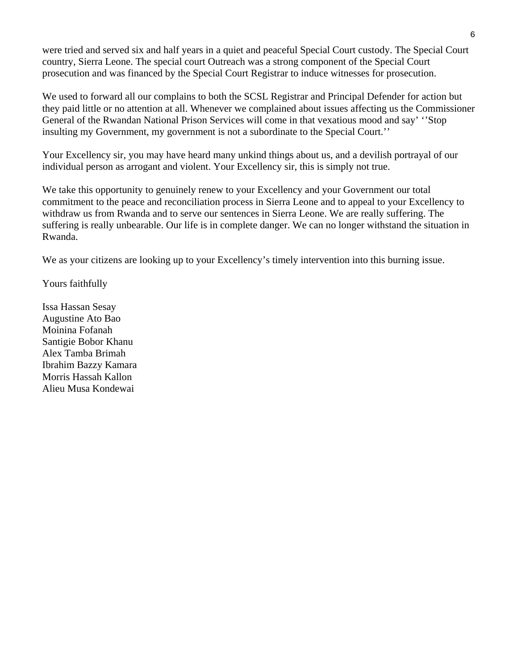were tried and served six and half years in a quiet and peaceful Special Court custody. The Special Court country, Sierra Leone. The special court Outreach was a strong component of the Special Court prosecution and was financed by the Special Court Registrar to induce witnesses for prosecution.

We used to forward all our complains to both the SCSL Registrar and Principal Defender for action but they paid little or no attention at all. Whenever we complained about issues affecting us the Commissioner General of the Rwandan National Prison Services will come in that vexatious mood and say' ''Stop insulting my Government, my government is not a subordinate to the Special Court.''

Your Excellency sir, you may have heard many unkind things about us, and a devilish portrayal of our individual person as arrogant and violent. Your Excellency sir, this is simply not true.

We take this opportunity to genuinely renew to your Excellency and your Government our total commitment to the peace and reconciliation process in Sierra Leone and to appeal to your Excellency to withdraw us from Rwanda and to serve our sentences in Sierra Leone. We are really suffering. The suffering is really unbearable. Our life is in complete danger. We can no longer withstand the situation in Rwanda.

We as your citizens are looking up to your Excellency's timely intervention into this burning issue.

Yours faithfully

Issa Hassan Sesay Augustine Ato Bao Moinina Fofanah Santigie Bobor Khanu Alex Tamba Brimah Ibrahim Bazzy Kamara Morris Hassah Kallon Alieu Musa Kondewai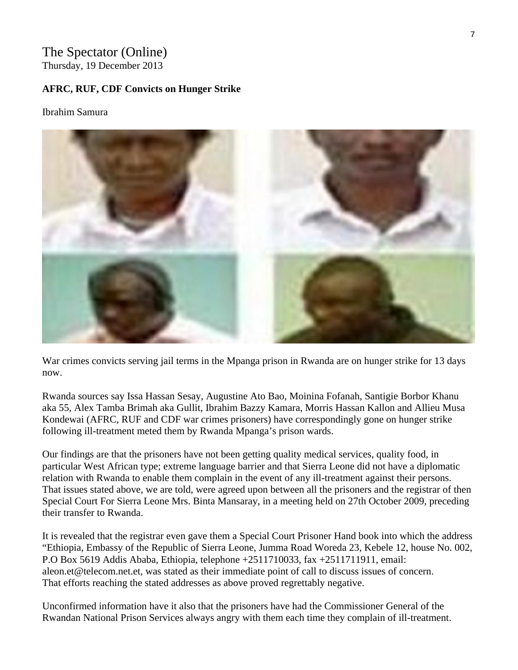## The Spectator (Online)

Thursday, 19 December 2013

#### **AFRC, RUF, CDF Convicts on Hunger Strike**

#### Ibrahim Samura



War crimes convicts serving jail terms in the Mpanga prison in Rwanda are on hunger strike for 13 days now.

Rwanda sources say Issa Hassan Sesay, Augustine Ato Bao, Moinina Fofanah, Santigie Borbor Khanu aka 55, Alex Tamba Brimah aka Gullit, Ibrahim Bazzy Kamara, Morris Hassan Kallon and Allieu Musa Kondewai (AFRC, RUF and CDF war crimes prisoners) have correspondingly gone on hunger strike following ill-treatment meted them by Rwanda Mpanga's prison wards.

Our findings are that the prisoners have not been getting quality medical services, quality food, in particular West African type; extreme language barrier and that Sierra Leone did not have a diplomatic relation with Rwanda to enable them complain in the event of any ill-treatment against their persons. That issues stated above, we are told, were agreed upon between all the prisoners and the registrar of then Special Court For Sierra Leone Mrs. Binta Mansaray, in a meeting held on 27th October 2009, preceding their transfer to Rwanda.

It is revealed that the registrar even gave them a Special Court Prisoner Hand book into which the address "Ethiopia, Embassy of the Republic of Sierra Leone, Jumma Road Woreda 23, Kebele 12, house No. 002, P.O Box 5619 Addis Ababa, Ethiopia, telephone +2511710033, fax +2511711911, email: aleon.et@telecom.net.et, was stated as their immediate point of call to discuss issues of concern. That efforts reaching the stated addresses as above proved regrettably negative.

Unconfirmed information have it also that the prisoners have had the Commissioner General of the Rwandan National Prison Services always angry with them each time they complain of ill-treatment.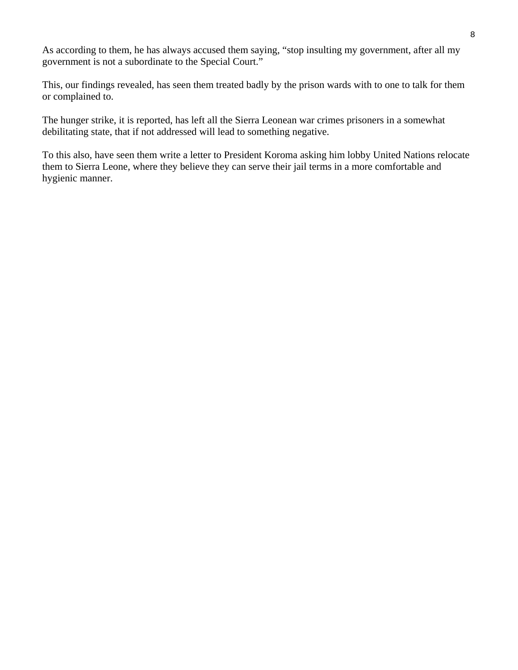As according to them, he has always accused them saying, "stop insulting my government, after all my government is not a subordinate to the Special Court."

This, our findings revealed, has seen them treated badly by the prison wards with to one to talk for them or complained to.

The hunger strike, it is reported, has left all the Sierra Leonean war crimes prisoners in a somewhat debilitating state, that if not addressed will lead to something negative.

To this also, have seen them write a letter to President Koroma asking him lobby United Nations relocate them to Sierra Leone, where they believe they can serve their jail terms in a more comfortable and hygienic manner.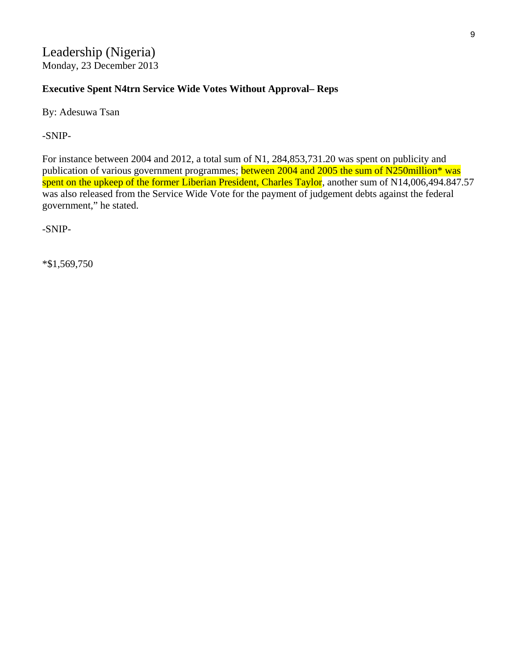Leadership (Nigeria) Monday, 23 December 2013

#### **Executive Spent N4trn Service Wide Votes Without Approval– Reps**

By: Adesuwa Tsan

-SNIP-

For instance between 2004 and 2012, a total sum of N1, 284,853,731.20 was spent on publicity and publication of various government programmes; between 2004 and 2005 the sum of N250million\* was spent on the upkeep of the former Liberian President, Charles Taylor, another sum of N14,006,494.847.57 was also released from the Service Wide Vote for the payment of judgement debts against the federal government," he stated.

-SNIP-

\*\$1,569,750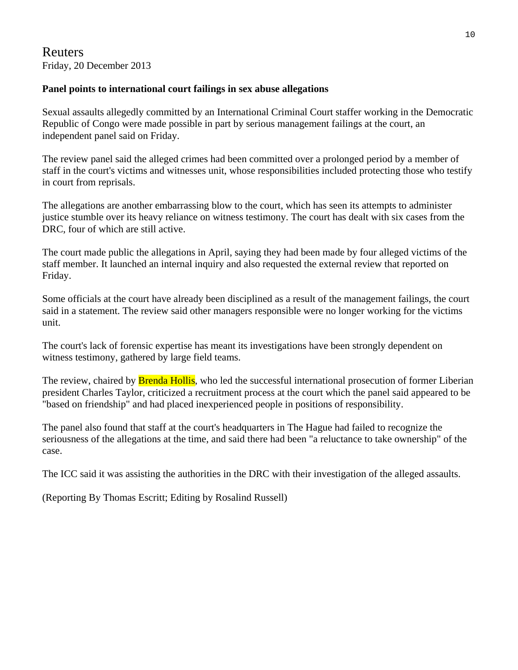## Reuters Friday, 20 December 2013

#### **Panel points to international court failings in sex abuse allegations**

Sexual assaults allegedly committed by an International Criminal Court staffer working in the Democratic Republic of Congo were made possible in part by serious management failings at the court, an independent panel said on Friday.

The review panel said the alleged crimes had been committed over a prolonged period by a member of staff in the court's victims and witnesses unit, whose responsibilities included protecting those who testify in court from reprisals.

The allegations are another embarrassing blow to the court, which has seen its attempts to administer justice stumble over its heavy reliance on witness testimony. The court has dealt with six cases from the DRC, four of which are still active.

The court made public the allegations in April, saying they had been made by four alleged victims of the staff member. It launched an internal inquiry and also requested the external review that reported on Friday.

Some officials at the court have already been disciplined as a result of the management failings, the court said in a statement. The review said other managers responsible were no longer working for the victims unit.

The court's lack of forensic expertise has meant its investigations have been strongly dependent on witness testimony, gathered by large field teams.

The review, chaired by **Brenda Hollis**, who led the successful international prosecution of former Liberian president Charles Taylor, criticized a recruitment process at the court which the panel said appeared to be "based on friendship" and had placed inexperienced people in positions of responsibility.

The panel also found that staff at the court's headquarters in The Hague had failed to recognize the seriousness of the allegations at the time, and said there had been "a reluctance to take ownership" of the case.

The ICC said it was assisting the authorities in the DRC with their investigation of the alleged assaults.

(Reporting By Thomas Escritt; Editing by Rosalind Russell)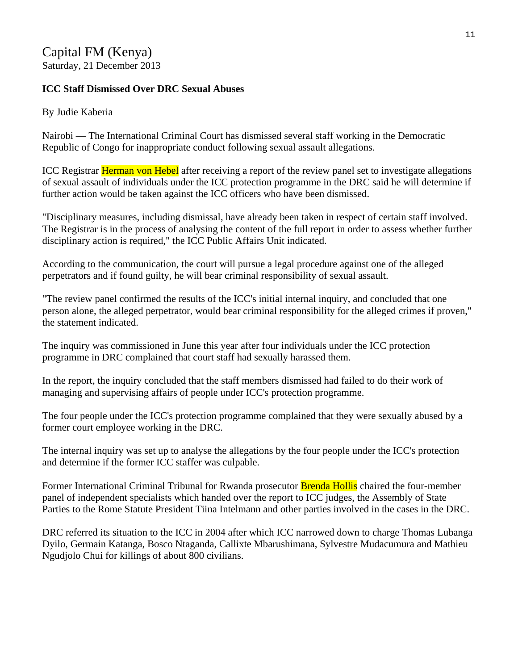## Capital FM (Kenya)

Saturday, 21 December 2013

## **ICC Staff Dismissed Over DRC Sexual Abuses**

### By Judie Kaberia

Nairobi — The International Criminal Court has dismissed several staff working in the Democratic Republic of Congo for inappropriate conduct following sexual assault allegations.

ICC Registrar **Herman von Hebel** after receiving a report of the review panel set to investigate allegations of sexual assault of individuals under the ICC protection programme in the DRC said he will determine if further action would be taken against the ICC officers who have been dismissed.

"Disciplinary measures, including dismissal, have already been taken in respect of certain staff involved. The Registrar is in the process of analysing the content of the full report in order to assess whether further disciplinary action is required," the ICC Public Affairs Unit indicated.

According to the communication, the court will pursue a legal procedure against one of the alleged perpetrators and if found guilty, he will bear criminal responsibility of sexual assault.

"The review panel confirmed the results of the ICC's initial internal inquiry, and concluded that one person alone, the alleged perpetrator, would bear criminal responsibility for the alleged crimes if proven," the statement indicated.

The inquiry was commissioned in June this year after four individuals under the ICC protection programme in DRC complained that court staff had sexually harassed them.

In the report, the inquiry concluded that the staff members dismissed had failed to do their work of managing and supervising affairs of people under ICC's protection programme.

The four people under the ICC's protection programme complained that they were sexually abused by a former court employee working in the DRC.

The internal inquiry was set up to analyse the allegations by the four people under the ICC's protection and determine if the former ICC staffer was culpable.

Former International Criminal Tribunal for Rwanda prosecutor **Brenda Hollis** chaired the four-member panel of independent specialists which handed over the report to ICC judges, the Assembly of State Parties to the Rome Statute President Tiina Intelmann and other parties involved in the cases in the DRC.

DRC referred its situation to the ICC in 2004 after which ICC narrowed down to charge Thomas Lubanga Dyilo, Germain Katanga, Bosco Ntaganda, Callixte Mbarushimana, Sylvestre Mudacumura and Mathieu Ngudjolo Chui for killings of about 800 civilians.